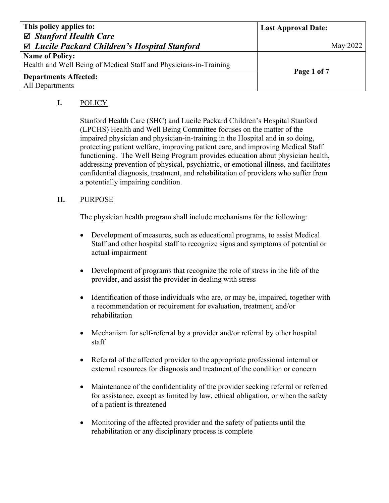| This policy applies to:                                           | <b>Last Approval Date:</b> |
|-------------------------------------------------------------------|----------------------------|
| ⊠ Stanford Health Care                                            |                            |
| ⊠ Lucile Packard Children's Hospital Stanford                     | May 2022                   |
| <b>Name of Policy:</b>                                            |                            |
| Health and Well Being of Medical Staff and Physicians-in-Training |                            |
| <b>Departments Affected:</b>                                      | Page 1 of 7                |
| All Departments                                                   |                            |

# **I.** POLICY

Stanford Health Care (SHC) and Lucile Packard Children's Hospital Stanford (LPCHS) Health and Well Being Committee focuses on the matter of the impaired physician and physician-in-training in the Hospital and in so doing, protecting patient welfare, improving patient care, and improving Medical Staff functioning. The Well Being Program provides education about physician health, addressing prevention of physical, psychiatric, or emotional illness, and facilitates confidential diagnosis, treatment, and rehabilitation of providers who suffer from a potentially impairing condition.

## **II.** PURPOSE

The physician health program shall include mechanisms for the following:

- Development of measures, such as educational programs, to assist Medical Staff and other hospital staff to recognize signs and symptoms of potential or actual impairment
- Development of programs that recognize the role of stress in the life of the provider, and assist the provider in dealing with stress
- Identification of those individuals who are, or may be, impaired, together with a recommendation or requirement for evaluation, treatment, and/or rehabilitation
- Mechanism for self-referral by a provider and/or referral by other hospital staff
- Referral of the affected provider to the appropriate professional internal or external resources for diagnosis and treatment of the condition or concern
- Maintenance of the confidentiality of the provider seeking referral or referred for assistance, except as limited by law, ethical obligation, or when the safety of a patient is threatened
- Monitoring of the affected provider and the safety of patients until the rehabilitation or any disciplinary process is complete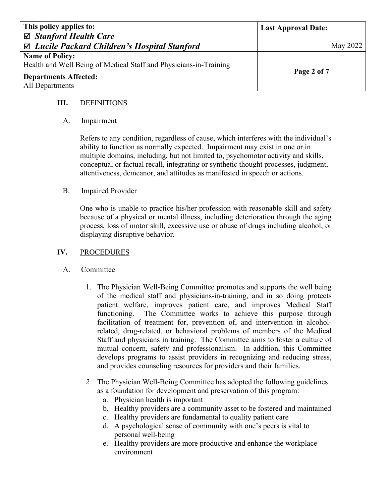| This policy applies to:                                           | <b>Last Approval Date:</b> |
|-------------------------------------------------------------------|----------------------------|
| ⊠ Stanford Health Care                                            |                            |
| ⊠ Lucile Packard Children's Hospital Stanford                     | May 2022                   |
| <b>Name of Policy:</b>                                            |                            |
| Health and Well Being of Medical Staff and Physicians-in-Training |                            |
| <b>Departments Affected:</b>                                      | Page 2 of 7                |
| All Departments                                                   |                            |

## **III.** DEFINITIONS

## A. Impairment

Refers to any condition, regardless of cause, which interferes with the individual's ability to function as normally expected. Impairment may exist in one or in multiple domains, including, but not limited to, psychomotor activity and skills, conceptual or factual recall, integrating or synthetic thought processes, judgment, attentiveness, demeanor, and attitudes as manifested in speech or actions.

## B. Impaired Provider

One who is unable to practice his/her profession with reasonable skill and safety because of a physical or mental illness, including deterioration through the aging process, loss of motor skill, excessive use or abuse of drugs including alcohol, or displaying disruptive behavior.

## **IV.** PROCEDURES

#### A. Committee

- 1. The Physician Well-Being Committee promotes and supports the well being of the medical staff and physicians-in-training, and in so doing protects patient welfare, improves patient care, and improves Medical Staff functioning. The Committee works to achieve this purpose through facilitation of treatment for, prevention of, and intervention in alcoholrelated, drug-related, or behavioral problems of members of the Medical Staff and physicians in training. The Committee aims to foster a culture of mutual concern, safety and professionalism. In addition, this Committee develops programs to assist providers in recognizing and reducing stress, and provides counseling resources for providers and their families.
- *2.* The Physician Well-Being Committee has adopted the following guidelines as a foundation for development and preservation of this program:
	- a. Physician health is important
	- b. Healthy providers are a community asset to be fostered and maintained
	- c. Healthy providers are fundamental to quality patient care
	- d. A psychological sense of community with one's peers is vital to personal well-being
	- e. Healthy providers are more productive and enhance the workplace environment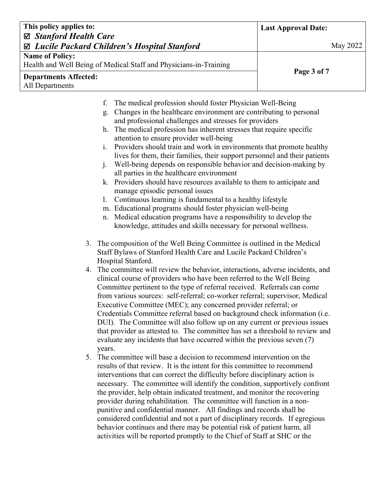| This policy applies to:<br>⊠ Stanford Health Care<br>Lucile Packard Children's Hospital Stanford<br>☑ |                                                                                                                              | <b>Last Approval Date:</b><br>May 2022 |
|-------------------------------------------------------------------------------------------------------|------------------------------------------------------------------------------------------------------------------------------|----------------------------------------|
|                                                                                                       |                                                                                                                              |                                        |
|                                                                                                       | Health and Well Being of Medical Staff and Physicians-in-Training                                                            |                                        |
| <b>Departments Affected:</b>                                                                          |                                                                                                                              | Page 3 of 7                            |
| All Departments                                                                                       |                                                                                                                              |                                        |
| f.                                                                                                    | The medical profession should foster Physician Well-Being                                                                    |                                        |
| g.                                                                                                    | Changes in the healthcare environment are contributing to personal                                                           |                                        |
|                                                                                                       | and professional challenges and stresses for providers<br>The medical profession has inherent stresses that require specific |                                        |
| h.                                                                                                    |                                                                                                                              |                                        |
|                                                                                                       | attention to ensure provider well-being                                                                                      |                                        |
| 1.                                                                                                    | Providers should train and work in environments that promote healthy                                                         |                                        |
| $\mathbf{i}$ .                                                                                        | lives for them, their families, their support personnel and their patients                                                   |                                        |
|                                                                                                       | Well-being depends on responsible behavior and decision-making by<br>all parties in the healthcare environment               |                                        |
|                                                                                                       | k. Providers should have resources available to them to anticipate and                                                       |                                        |
|                                                                                                       | manage episodic personal issues                                                                                              |                                        |
| 1.                                                                                                    | Continuous learning is fundamental to a healthy lifestyle                                                                    |                                        |
|                                                                                                       | m. Educational programs should foster physician well-being                                                                   |                                        |
| n.                                                                                                    | Medical education programs have a responsibility to develop the                                                              |                                        |
|                                                                                                       | knowledge, attitudes and skills necessary for personal wellness.                                                             |                                        |

- 3. The composition of the Well Being Committee is outlined in the Medical Staff Bylaws of Stanford Health Care and Lucile Packard Children's Hospital Stanford.
- 4. The committee will review the behavior, interactions, adverse incidents, and clinical course of providers who have been referred to the Well Being Committee pertinent to the type of referral received. Referrals can come from various sources: self-referral; co-worker referral; supervisor, Medical Executive Committee (MEC); any concerned provider referral; or Credentials Committee referral based on background check information (i.e. DUI). The Committee will also follow up on any current or previous issues that provider as attested to. The committee has set a threshold to review and evaluate any incidents that have occurred within the previous seven (7) years.
- 5. The committee will base a decision to recommend intervention on the results of that review. It is the intent for this committee to recommend interventions that can correct the difficulty before disciplinary action is necessary. The committee will identify the condition, supportively confront the provider, help obtain indicated treatment, and monitor the recovering provider during rehabilitation. The committee will function in a nonpunitive and confidential manner. All findings and records shall be considered confidential and not a part of disciplinary records. If egregious behavior continues and there may be potential risk of patient harm, all activities will be reported promptly to the Chief of Staff at SHC or the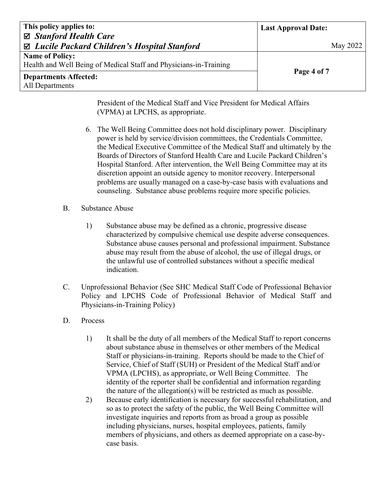| This policy applies to:                                           | <b>Last Approval Date:</b> |
|-------------------------------------------------------------------|----------------------------|
| ⊠ Stanford Health Care                                            |                            |
| ⊠ Lucile Packard Children's Hospital Stanford                     | May 2022                   |
| <b>Name of Policy:</b>                                            |                            |
| Health and Well Being of Medical Staff and Physicians-in-Training |                            |
| <b>Departments Affected:</b>                                      | Page 4 of 7                |
| All Departments                                                   |                            |

President of the Medical Staff and Vice President for Medical Affairs (VPMA) at LPCHS, as appropriate.

6. The Well Being Committee does not hold disciplinary power. Disciplinary power is held by service/division committees, the Credentials Committee, the Medical Executive Committee of the Medical Staff and ultimately by the Boards of Directors of Stanford Health Care and Lucile Packard Children's Hospital Stanford. After intervention, the Well Being Committee may at its discretion appoint an outside agency to monitor recovery. Interpersonal problems are usually managed on a case-by-case basis with evaluations and counseling. Substance abuse problems require more specific policies.

## B. Substance Abuse

- 1) Substance abuse may be defined as a chronic, progressive disease characterized by compulsive chemical use despite adverse consequences. Substance abuse causes personal and professional impairment. Substance abuse may result from the abuse of alcohol, the use of illegal drugs, or the unlawful use of controlled substances without a specific medical indication.
- C. Unprofessional Behavior (See SHC Medical Staff Code of Professional Behavior Policy and LPCHS Code of Professional Behavior of Medical Staff and Physicians-in-Training Policy)
- D. Process
	- 1) It shall be the duty of all members of the Medical Staff to report concerns about substance abuse in themselves or other members of the Medical Staff or physicians-in-training. Reports should be made to the Chief of Service, Chief of Staff (SUH) or President of the Medical Staff and/or VPMA (LPCHS), as appropriate, or Well Being Committee. The identity of the reporter shall be confidential and information regarding the nature of the allegation(s) will be restricted as much as possible.
	- 2) Because early identification is necessary for successful rehabilitation, and so as to protect the safety of the public, the Well Being Committee will investigate inquiries and reports from as broad a group as possible including physicians, nurses, hospital employees, patients, family members of physicians, and others as deemed appropriate on a case-bycase basis.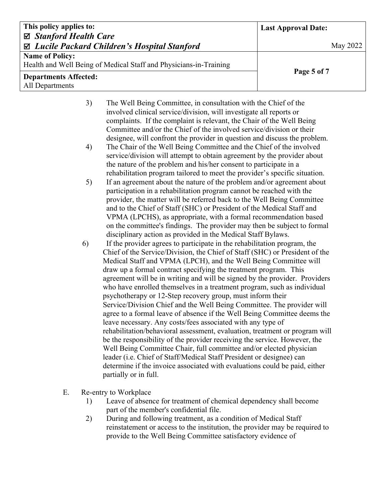| This policy applies to:                                                           |                                                                                                                                                                                                                                                                                                                                                                                                                                                                                                                  | <b>Last Approval Date:</b> |  |
|-----------------------------------------------------------------------------------|------------------------------------------------------------------------------------------------------------------------------------------------------------------------------------------------------------------------------------------------------------------------------------------------------------------------------------------------------------------------------------------------------------------------------------------------------------------------------------------------------------------|----------------------------|--|
| $\boxtimes$ Stanford Health Care<br>⊠ Lucile Packard Children's Hospital Stanford |                                                                                                                                                                                                                                                                                                                                                                                                                                                                                                                  | <b>May 2022</b>            |  |
| <b>Name of Policy:</b>                                                            | Health and Well Being of Medical Staff and Physicians-in-Training                                                                                                                                                                                                                                                                                                                                                                                                                                                |                            |  |
| <b>Departments Affected:</b><br>All Departments                                   |                                                                                                                                                                                                                                                                                                                                                                                                                                                                                                                  | Page 5 of 7                |  |
| 3)                                                                                | The Well Being Committee, in consultation with the Chief of the<br>involved clinical service/division, will investigate all reports or<br>complaints. If the complaint is relevant, the Chair of the Well Being<br>Committee and/or the Chief of the involved service/division or their                                                                                                                                                                                                                          |                            |  |
| 4)                                                                                | designee, will confront the provider in question and discuss the problem.<br>The Chair of the Well Being Committee and the Chief of the involved<br>service/division will attempt to obtain agreement by the provider about<br>the nature of the problem and his/her consent to participate in a<br>rehabilitation program tailored to meet the provider's specific situation.                                                                                                                                   |                            |  |
| 5)                                                                                | If an agreement about the nature of the problem and/or agreement about<br>participation in a rehabilitation program cannot be reached with the<br>provider, the matter will be referred back to the Well Being Committee<br>and to the Chief of Staff (SHC) or President of the Medical Staff and<br>VPMA (LPCHS), as appropriate, with a formal recommendation based<br>on the committee's findings. The provider may then be subject to formal<br>disciplinary action as provided in the Medical Staff Bylaws. |                            |  |
| 6)                                                                                | If the provider agrees to participate in the rehabilitation program, the<br>Chief of the Service/Division, the Chief of Staff (SHC) or President of the<br>Medical Staff and VPMA (LPCH), and the Well Being Committee will                                                                                                                                                                                                                                                                                      |                            |  |

Medical Staff and VPMA (LPCH), and the Well Being Committee will draw up a formal contract specifying the treatment program. This agreement will be in writing and will be signed by the provider. Providers who have enrolled themselves in a treatment program, such as individual psychotherapy or 12-Step recovery group, must inform their Service/Division Chief and the Well Being Committee. The provider will agree to a formal leave of absence if the Well Being Committee deems the leave necessary. Any costs/fees associated with any type of rehabilitation/behavioral assessment, evaluation, treatment or program will be the responsibility of the provider receiving the service. However, the Well Being Committee Chair, full committee and/or elected physician leader (i.e. Chief of Staff/Medical Staff President or designee) can determine if the invoice associated with evaluations could be paid, either partially or in full.

- E. Re-entry to Workplace
	- 1) Leave of absence for treatment of chemical dependency shall become part of the member's confidential file.
	- 2) During and following treatment, as a condition of Medical Staff reinstatement or access to the institution, the provider may be required to provide to the Well Being Committee satisfactory evidence of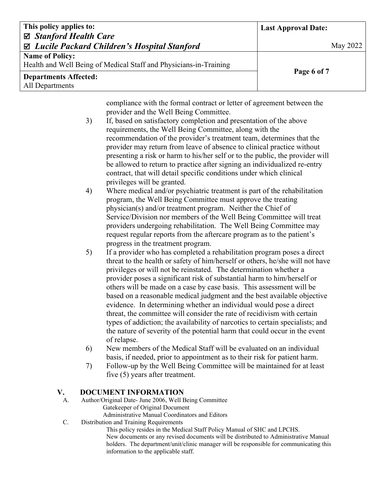| This policy applies to:                                           | <b>Last Approval Date:</b> |
|-------------------------------------------------------------------|----------------------------|
| ⊠ Stanford Health Care                                            |                            |
| ⊠ Lucile Packard Children's Hospital Stanford                     | May 2022                   |
| <b>Name of Policy:</b>                                            |                            |
| Health and Well Being of Medical Staff and Physicians-in-Training |                            |
| <b>Departments Affected:</b>                                      | Page 6 of 7                |
| All Departments                                                   |                            |

compliance with the formal contract or letter of agreement between the provider and the Well Being Committee.

- 3) If, based on satisfactory completion and presentation of the above requirements, the Well Being Committee, along with the recommendation of the provider's treatment team, determines that the provider may return from leave of absence to clinical practice without presenting a risk or harm to his/her self or to the public, the provider will be allowed to return to practice after signing an individualized re-entry contract, that will detail specific conditions under which clinical privileges will be granted.
- 4) Where medical and/or psychiatric treatment is part of the rehabilitation program, the Well Being Committee must approve the treating physician(s) and/or treatment program. Neither the Chief of Service/Division nor members of the Well Being Committee will treat providers undergoing rehabilitation. The Well Being Committee may request regular reports from the aftercare program as to the patient's progress in the treatment program.
- 5) If a provider who has completed a rehabilitation program poses a direct threat to the health or safety of him/herself or others, he/she will not have privileges or will not be reinstated. The determination whether a provider poses a significant risk of substantial harm to him/herself or others will be made on a case by case basis. This assessment will be based on a reasonable medical judgment and the best available objective evidence. In determining whether an individual would pose a direct threat, the committee will consider the rate of recidivism with certain types of addiction; the availability of narcotics to certain specialists; and the nature of severity of the potential harm that could occur in the event of relapse.
- 6) New members of the Medical Staff will be evaluated on an individual basis, if needed, prior to appointment as to their risk for patient harm.
- 7) Follow-up by the Well Being Committee will be maintained for at least five (5) years after treatment.

#### **V. DOCUMENT INFORMATION**

- A. Author/Original Date- June 2006, Well Being Committee Gatekeeper of Original Document Administrative Manual Coordinators and Editors
- C. Distribution and Training Requirements

This policy resides in the Medical Staff Policy Manual of SHC and LPCHS. New documents or any revised documents will be distributed to Administrative Manual holders. The department/unit/clinic manager will be responsible for communicating this information to the applicable staff.